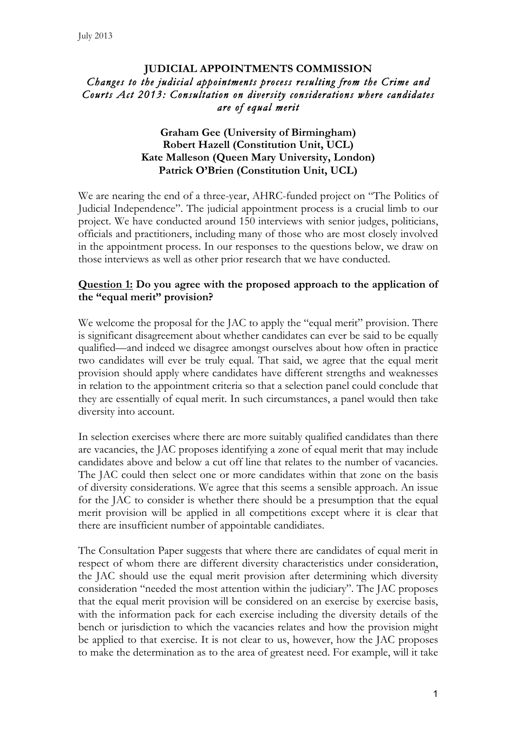## **JUDICIAL APPOINTMENTS COMMISSION** *Changes to the judicial appointments process resulting from the Crime and Courts Act 2013: Consultation on diversity considerations where candidates are of equal merit*

#### **Graham Gee (University of Birmingham)** **Robert Hazell (Constitution Unit, UCL) Kate Malleson (Queen Mary University, London) Patrick O'Brien (Constitution Unit, UCL)**

We are nearing the end of a three-year, AHRC-funded project on "The Politics of Judicial Independence". The judicial appointment process is a crucial limb to our project. We have conducted around 150 interviews with senior judges, politicians, officials and practitioners, including many of those who are most closely involved in the appointment process. In our responses to the questions below, we draw on those interviews as well as other prior research that we have conducted.

## **Question 1: Do you agree with the proposed approach to the application of the "equal merit" provision?**

We welcome the proposal for the JAC to apply the "equal merit" provision. There is significant disagreement about whether candidates can ever be said to be equally qualified—and indeed we disagree amongst ourselves about how often in practice two candidates will ever be truly equal. That said, we agree that the equal merit provision should apply where candidates have different strengths and weaknesses in relation to the appointment criteria so that a selection panel could conclude that they are essentially of equal merit. In such circumstances, a panel would then take diversity into account.

In selection exercises where there are more suitably qualified candidates than there are vacancies, the JAC proposes identifying a zone of equal merit that may include candidates above and below a cut off line that relates to the number of vacancies. The JAC could then select one or more candidates within that zone on the basis of diversity considerations. We agree that this seems a sensible approach. An issue for the JAC to consider is whether there should be a presumption that the equal merit provision will be applied in all competitions except where it is clear that there are insufficient number of appointable candidiates.

The Consultation Paper suggests that where there are candidates of equal merit in respect of whom there are different diversity characteristics under consideration, the JAC should use the equal merit provision after determining which diversity consideration "needed the most attention within the judiciary". The JAC proposes that the equal merit provision will be considered on an exercise by exercise basis, with the information pack for each exercise including the diversity details of the bench or jurisdiction to which the vacancies relates and how the provision might be applied to that exercise. It is not clear to us, however, how the JAC proposes to make the determination as to the area of greatest need. For example, will it take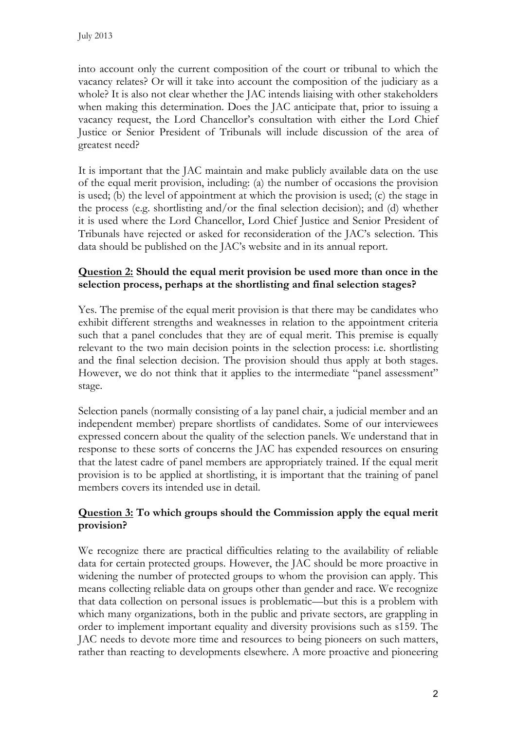into account only the current composition of the court or tribunal to which the vacancy relates? Or will it take into account the composition of the judiciary as a whole? It is also not clear whether the JAC intends liaising with other stakeholders when making this determination. Does the JAC anticipate that, prior to issuing a vacancy request, the Lord Chancellor's consultation with either the Lord Chief Justice or Senior President of Tribunals will include discussion of the area of greatest need?

It is important that the JAC maintain and make publicly available data on the use of the equal merit provision, including: (a) the number of occasions the provision is used; (b) the level of appointment at which the provision is used; (c) the stage in the process (e.g. shortlisting and/or the final selection decision); and (d) whether it is used where the Lord Chancellor, Lord Chief Justice and Senior President of Tribunals have rejected or asked for reconsideration of the JAC's selection. This data should be published on the JAC's website and in its annual report.

# **Question 2: Should the equal merit provision be used more than once in the selection process, perhaps at the shortlisting and final selection stages?**

Yes. The premise of the equal merit provision is that there may be candidates who exhibit different strengths and weaknesses in relation to the appointment criteria such that a panel concludes that they are of equal merit. This premise is equally relevant to the two main decision points in the selection process: i.e. shortlisting and the final selection decision. The provision should thus apply at both stages. However, we do not think that it applies to the intermediate "panel assessment" stage.

Selection panels (normally consisting of a lay panel chair, a judicial member and an independent member) prepare shortlists of candidates. Some of our interviewees expressed concern about the quality of the selection panels. We understand that in response to these sorts of concerns the JAC has expended resources on ensuring that the latest cadre of panel members are appropriately trained. If the equal merit provision is to be applied at shortlisting, it is important that the training of panel members covers its intended use in detail.

# **Question 3: To which groups should the Commission apply the equal merit provision?**

We recognize there are practical difficulties relating to the availability of reliable data for certain protected groups. However, the JAC should be more proactive in widening the number of protected groups to whom the provision can apply. This means collecting reliable data on groups other than gender and race. We recognize that data collection on personal issues is problematic—but this is a problem with which many organizations, both in the public and private sectors, are grappling in order to implement important equality and diversity provisions such as s159. The JAC needs to devote more time and resources to being pioneers on such matters, rather than reacting to developments elsewhere. A more proactive and pioneering